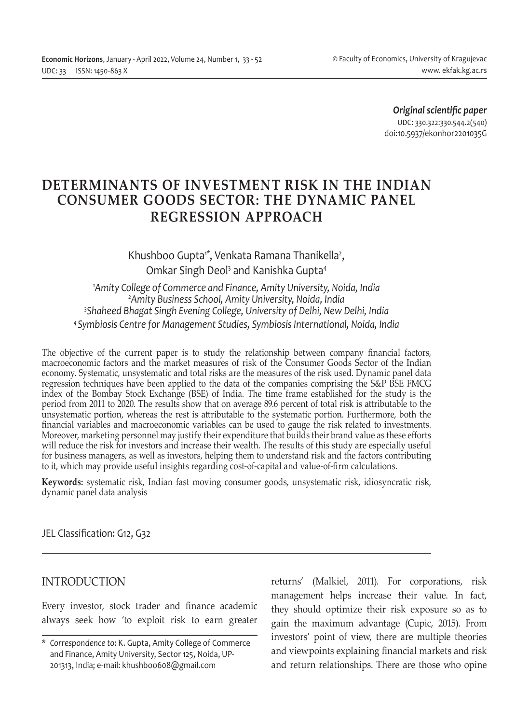*Original scientific paper* UDC: 330.322:330.544.2(540) doi:10.5937/ekonhor2201035G

# **DETERMINANTS OF INVESTMENT RISK IN THE INDIAN CONSUMER GOODS SECTOR: THE DYNAMIC PANEL REGRESSION APPROACH**

Khushboo Gupta<sup>1\*</sup>, Venkata Ramana Thanikella<sup>2</sup>, Omkar Singh Deol<sup>3</sup> and Kanishka Gupta<sup>4</sup>

 *Amity College of Commerce and Finance, Amity University, Noida, India Amity Business School, Amity University, Noida, India Shaheed Bhagat Singh Evening College, University of Delhi, New Delhi, India 4 Symbiosis Centre for Management Studies, Symbiosis International, Noida, India*

The objective of the current paper is to study the relationship between company financial factors, macroeconomic factors and the market measures of risk of the Consumer Goods Sector of the Indian economy. Systematic, unsystematic and total risks are the measures of the risk used. Dynamic panel data regression techniques have been applied to the data of the companies comprising the S&P BSE FMCG index of the Bombay Stock Exchange (BSE) of India. The time frame established for the study is the period from 2011 to 2020. The results show that on average 89.6 percent of total risk is attributable to the unsystematic portion, whereas the rest is attributable to the systematic portion. Furthermore, both the financial variables and macroeconomic variables can be used to gauge the risk related to investments. Moreover, marketing personnel may justify their expenditure that builds their brand value as these efforts will reduce the risk for investors and increase their wealth. The results of this study are especially useful for business managers, as well as investors, helping them to understand risk and the factors contributing to it, which may provide useful insights regarding cost-of-capital and value-of-firm calculations.

**Keywords:** systematic risk, Indian fast moving consumer goods, unsystematic risk, idiosyncratic risk, dynamic panel data analysis

JEL Classification: G12, G32

## INTRODUCTION

Every investor, stock trader and finance academic always seek how 'to exploit risk to earn greater returns' (Malkiel, 2011). For corporations, risk management helps increase their value. In fact, they should optimize their risk exposure so as to gain the maximum advantage (Cupic, 2015). From investors' point of view, there are multiple theories and viewpoints explaining financial markets and risk and return relationships. There are those who opine

*<sup>\*</sup> Correspondence to*: K. Gupta, Amity College of Commerce and Finance, Amity University, Sector 125, Noida, UP-201313, India; e-mail: khushboo608@gmail.com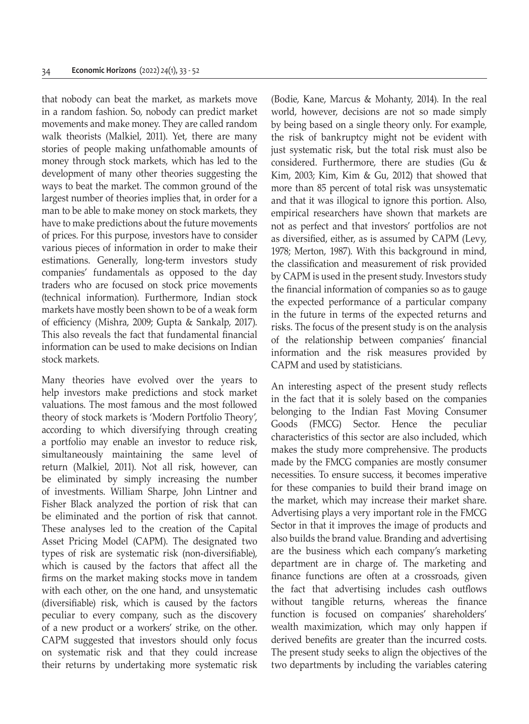that nobody can beat the market, as markets move in a random fashion. So, nobody can predict market movements and make money. They are called random walk theorists (Malkiel, 2011). Yet, there are many stories of people making unfathomable amounts of money through stock markets, which has led to the development of many other theories suggesting the ways to beat the market. The common ground of the largest number of theories implies that, in order for a man to be able to make money on stock markets, they have to make predictions about the future movements of prices. For this purpose, investors have to consider various pieces of information in order to make their estimations. Generally, long-term investors study companies' fundamentals as opposed to the day traders who are focused on stock price movements (technical information). Furthermore, Indian stock markets have mostly been shown to be of a weak form of efficiency (Mishra, 2009; Gupta & Sankalp, 2017). This also reveals the fact that fundamental financial information can be used to make decisions on Indian stock markets.

Many theories have evolved over the years to help investors make predictions and stock market valuations. The most famous and the most followed theory of stock markets is 'Modern Portfolio Theory', according to which diversifying through creating a portfolio may enable an investor to reduce risk, simultaneously maintaining the same level of return (Malkiel, 2011). Not all risk, however, can be eliminated by simply increasing the number of investments. William Sharpe, John Lintner and Fisher Black analyzed the portion of risk that can be eliminated and the portion of risk that cannot. These analyses led to the creation of the Capital Asset Pricing Model (CAPM). The designated two types of risk are systematic risk (non-diversifiable), which is caused by the factors that affect all the firms on the market making stocks move in tandem with each other, on the one hand, and unsystematic (diversifiable) risk, which is caused by the factors peculiar to every company, such as the discovery of a new product or a workers' strike, on the other. CAPM suggested that investors should only focus on systematic risk and that they could increase their returns by undertaking more systematic risk (Bodie, Kane, Marcus & Mohanty, 2014). In the real world, however, decisions are not so made simply by being based on a single theory only. For example, the risk of bankruptcy might not be evident with just systematic risk, but the total risk must also be considered. Furthermore, there are studies (Gu & Kim, 2003; Kim, Kim & Gu, 2012) that showed that more than 85 percent of total risk was unsystematic and that it was illogical to ignore this portion. Also, empirical researchers have shown that markets are not as perfect and that investors' portfolios are not as diversified, either, as is assumed by CAPM (Levy, 1978; Merton, 1987). With this background in mind, the classification and measurement of risk provided by CAPM is used in the present study. Investors study the financial information of companies so as to gauge the expected performance of a particular company in the future in terms of the expected returns and risks. The focus of the present study is on the analysis of the relationship between companies' financial information and the risk measures provided by CAPM and used by statisticians.

An interesting aspect of the present study reflects in the fact that it is solely based on the companies belonging to the Indian Fast Moving Consumer Goods (FMCG) Sector. Hence the peculiar characteristics of this sector are also included, which makes the study more comprehensive. The products made by the FMCG companies are mostly consumer necessities. To ensure success, it becomes imperative for these companies to build their brand image on the market, which may increase their market share. Advertising plays a very important role in the FMCG Sector in that it improves the image of products and also builds the brand value. Branding and advertising are the business which each company's marketing department are in charge of. The marketing and finance functions are often at a crossroads, given the fact that advertising includes cash outflows without tangible returns, whereas the finance function is focused on companies' shareholders' wealth maximization, which may only happen if derived benefits are greater than the incurred costs. The present study seeks to align the objectives of the two departments by including the variables catering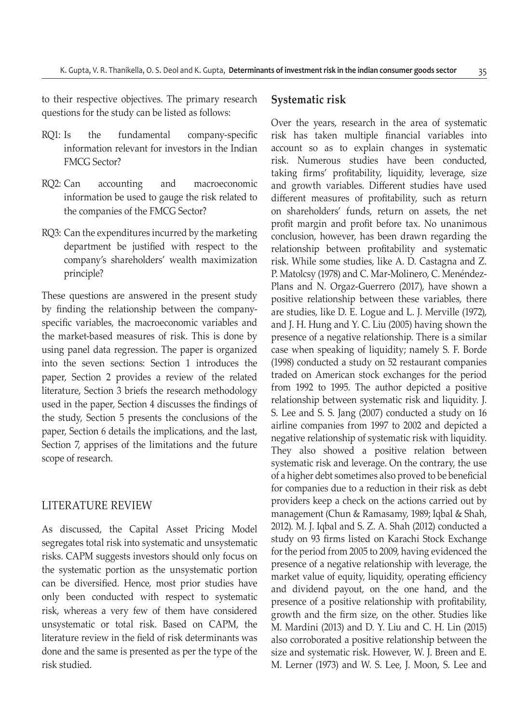to their respective objectives. The primary research questions for the study can be listed as follows:

- RQ1: Is the fundamental company-specific information relevant for investors in the Indian FMCG Sector?
- RQ2: Can accounting and macroeconomic information be used to gauge the risk related to the companies of the FMCG Sector?
- RQ3: Can the expenditures incurred by the marketing department be justified with respect to the company's shareholders' wealth maximization principle?

These questions are answered in the present study by finding the relationship between the companyspecific variables, the macroeconomic variables and the market-based measures of risk. This is done by using panel data regression. The paper is organized into the seven sections: Section 1 introduces the paper, Section 2 provides a review of the related literature, Section 3 briefs the research methodology used in the paper, Section 4 discusses the findings of the study, Section 5 presents the conclusions of the paper, Section 6 details the implications, and the last, Section 7, apprises of the limitations and the future scope of research.

## LITERATURE REVIEW

As discussed, the Capital Asset Pricing Model segregates total risk into systematic and unsystematic risks. CAPM suggests investors should only focus on the systematic portion as the unsystematic portion can be diversified. Hence, most prior studies have only been conducted with respect to systematic risk, whereas a very few of them have considered unsystematic or total risk. Based on CAPM, the literature review in the field of risk determinants was done and the same is presented as per the type of the risk studied.

## **Systematic risk**

Over the years, research in the area of systematic risk has taken multiple financial variables into account so as to explain changes in systematic risk. Numerous studies have been conducted, taking firms' profitability, liquidity, leverage, size and growth variables. Different studies have used different measures of profitability, such as return on shareholders' funds, return on assets, the net profit margin and profit before tax. No unanimous conclusion, however, has been drawn regarding the relationship between profitability and systematic risk. While some studies, like A. D. Castagna and Z. P. Matolcsy (1978) and C. Mar-Molinero, C. Menéndez-Plans and N. Orgaz-Guerrero (2017), have shown a positive relationship between these variables, there are studies, like D. E. Logue and L. J. Merville (1972), and J. H. Hung and Y. C. Liu (2005) having shown the presence of a negative relationship. There is a similar case when speaking of liquidity; namely S. F. Borde (1998) conducted a study on 52 restaurant companies traded on American stock exchanges for the period from 1992 to 1995. The author depicted a positive relationship between systematic risk and liquidity. J. S. Lee and S. S. Jang (2007) conducted a study on 16 airline companies from 1997 to 2002 and depicted a negative relationship of systematic risk with liquidity. They also showed a positive relation between systematic risk and leverage. On the contrary, the use of a higher debt sometimes also proved to be beneficial for companies due to a reduction in their risk as debt providers keep a check on the actions carried out by management (Chun & Ramasamy, 1989; Iqbal & Shah, 2012). M. J. Iqbal and S. Z. A. Shah (2012) conducted a study on 93 firms listed on Karachi Stock Exchange for the period from 2005 to 2009, having evidenced the presence of a negative relationship with leverage, the market value of equity, liquidity, operating efficiency and dividend payout, on the one hand, and the presence of a positive relationship with profitability, growth and the firm size, on the other. Studies like M. Mardini (2013) and D. Y. Liu and C. H. Lin (2015) also corroborated a positive relationship between the size and systematic risk. However, W. J. Breen and E. M. Lerner (1973) and W. S. Lee, J. Moon, S. Lee and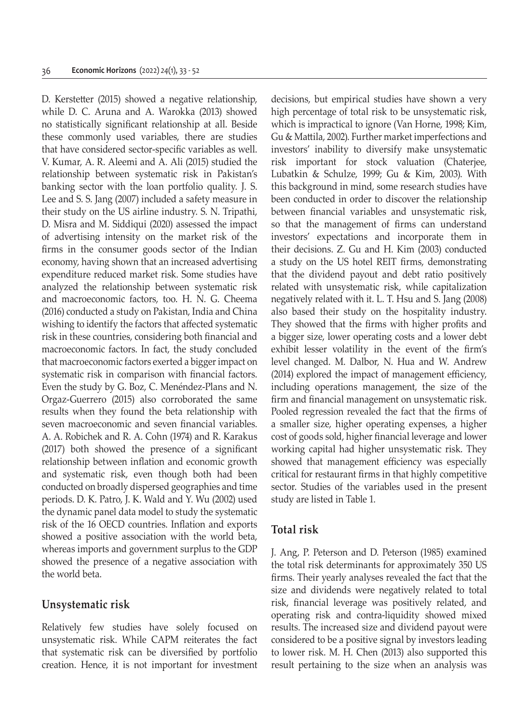D. Kerstetter (2015) showed a negative relationship, while D. C. Aruna and A. Warokka (2013) showed no statistically significant relationship at all. Beside these commonly used variables, there are studies that have considered sector-specific variables as well. V. Kumar, A. R. Aleemi and A. Ali (2015) studied the relationship between systematic risk in Pakistan's banking sector with the loan portfolio quality. J. S. Lee and S. S. Jang (2007) included a safety measure in their study on the US airline industry. S. N. Tripathi, D. Misra and M. Siddiqui (2020) assessed the impact of advertising intensity on the market risk of the firms in the consumer goods sector of the Indian economy, having shown that an increased advertising expenditure reduced market risk. Some studies have analyzed the relationship between systematic risk and macroeconomic factors, too. H. N. G. Cheema (2016) conducted a study on Pakistan, India and China wishing to identify the factors that affected systematic risk in these countries, considering both financial and macroeconomic factors. In fact, the study concluded that macroeconomic factors exerted a bigger impact on systematic risk in comparison with financial factors. Even the study by G. Boz, C. Menéndez-Plans and N. Orgaz-Guerrero (2015) also corroborated the same results when they found the beta relationship with seven macroeconomic and seven financial variables. A. A. Robichek and R. A. Cohn (1974) and R. Karakus (2017) both showed the presence of a significant relationship between inflation and economic growth and systematic risk, even though both had been conducted on broadly dispersed geographies and time periods. D. K. Patro, J. K. Wald and Y. Wu (2002) used the dynamic panel data model to study the systematic risk of the 16 OECD countries. Inflation and exports showed a positive association with the world beta, whereas imports and government surplus to the GDP showed the presence of a negative association with the world beta.

## **Unsystematic risk**

Relatively few studies have solely focused on unsystematic risk. While CAPM reiterates the fact that systematic risk can be diversified by portfolio creation. Hence, it is not important for investment decisions, but empirical studies have shown a very high percentage of total risk to be unsystematic risk, which is impractical to ignore (Van Horne, 1998; Kim, Gu & Mattila, 2002). Further market imperfections and investors' inability to diversify make unsystematic risk important for stock valuation (Chaterjee, Lubatkin & Schulze, 1999; Gu & Kim, 2003). With this background in mind, some research studies have been conducted in order to discover the relationship between financial variables and unsystematic risk, so that the management of firms can understand investors' expectations and incorporate them in their decisions. Z. Gu and H. Kim (2003) conducted a study on the US hotel REIT firms, demonstrating that the dividend payout and debt ratio positively related with unsystematic risk, while capitalization negatively related with it. L. T. Hsu and S. Jang (2008) also based their study on the hospitality industry. They showed that the firms with higher profits and a bigger size, lower operating costs and a lower debt exhibit lesser volatility in the event of the firm's level changed. M. Dalbor, N. Hua and W. Andrew (2014) explored the impact of management efficiency, including operations management, the size of the firm and financial management on unsystematic risk. Pooled regression revealed the fact that the firms of a smaller size, higher operating expenses, a higher cost of goods sold, higher financial leverage and lower working capital had higher unsystematic risk. They showed that management efficiency was especially critical for restaurant firms in that highly competitive sector. Studies of the variables used in the present study are listed in Table 1.

## **Total risk**

J. Ang, P. Peterson and D. Peterson (1985) examined the total risk determinants for approximately 350 US firms. Their yearly analyses revealed the fact that the size and dividends were negatively related to total risk, financial leverage was positively related, and operating risk and contra-liquidity showed mixed results. The increased size and dividend payout were considered to be a positive signal by investors leading to lower risk. M. H. Chen (2013) also supported this result pertaining to the size when an analysis was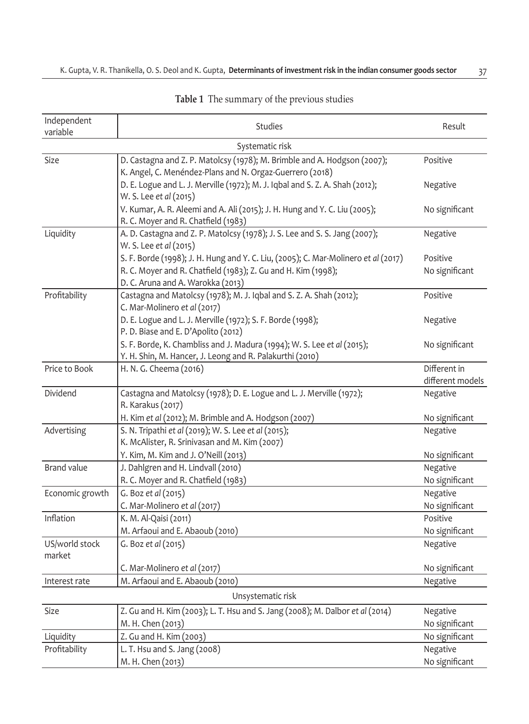| Independent<br>variable  | Studies                                                                                                                                                                                  | Result                           |  |  |  |  |  |
|--------------------------|------------------------------------------------------------------------------------------------------------------------------------------------------------------------------------------|----------------------------------|--|--|--|--|--|
|                          | Systematic risk                                                                                                                                                                          |                                  |  |  |  |  |  |
| Size                     | D. Castagna and Z. P. Matolcsy (1978); M. Brimble and A. Hodgson (2007);<br>K. Angel, C. Menéndez-Plans and N. Orgaz-Guerrero (2018)                                                     | Positive                         |  |  |  |  |  |
|                          | D. E. Logue and L. J. Merville (1972); M. J. Iqbal and S. Z. A. Shah (2012);<br>W. S. Lee et al (2015)                                                                                   | Negative                         |  |  |  |  |  |
|                          | V. Kumar, A. R. Aleemi and A. Ali (2015); J. H. Hung and Y. C. Liu (2005);<br>R. C. Moyer and R. Chatfield (1983)                                                                        | No significant                   |  |  |  |  |  |
| Liquidity                | A. D. Castagna and Z. P. Matolcsy (1978); J. S. Lee and S. S. Jang (2007);<br>W. S. Lee et al (2015)                                                                                     | Negative                         |  |  |  |  |  |
|                          | S. F. Borde (1998); J. H. Hung and Y. C. Liu, (2005); C. Mar-Molinero et al (2017)<br>R. C. Moyer and R. Chatfield (1983); Z. Gu and H. Kim (1998);<br>D. C. Aruna and A. Warokka (2013) | Positive<br>No significant       |  |  |  |  |  |
| Profitability            | Castagna and Matolcsy (1978); M. J. Iqbal and S. Z. A. Shah (2012);<br>C. Mar-Molinero et al (2017)                                                                                      | Positive                         |  |  |  |  |  |
|                          | D. E. Logue and L. J. Merville (1972); S. F. Borde (1998);<br>P.D. Biase and E. D'Apolito (2012)                                                                                         | Negative                         |  |  |  |  |  |
|                          | S. F. Borde, K. Chambliss and J. Madura (1994); W. S. Lee et al (2015);<br>Y. H. Shin, M. Hancer, J. Leong and R. Palakurthi (2010)                                                      | No significant                   |  |  |  |  |  |
| Price to Book            | H. N. G. Cheema (2016)                                                                                                                                                                   | Different in<br>different models |  |  |  |  |  |
| Dividend                 | Castagna and Matolcsy (1978); D. E. Logue and L. J. Merville (1972);<br>R. Karakus (2017)                                                                                                | Negative                         |  |  |  |  |  |
|                          | H. Kim et al (2012); M. Brimble and A. Hodgson (2007)                                                                                                                                    | No significant                   |  |  |  |  |  |
| Advertising              | S. N. Tripathi et al (2019); W. S. Lee et al (2015);<br>K. McAlister, R. Srinivasan and M. Kim (2007)                                                                                    | Negative                         |  |  |  |  |  |
|                          | Y. Kim, M. Kim and J. O'Neill (2013)                                                                                                                                                     | No significant                   |  |  |  |  |  |
| <b>Brand value</b>       | J. Dahlgren and H. Lindvall (2010)                                                                                                                                                       | Negative                         |  |  |  |  |  |
|                          | R. C. Moyer and R. Chatfield (1983)                                                                                                                                                      | No significant                   |  |  |  |  |  |
| Economic growth          | G. Boz et al (2015)<br>C. Mar-Molinero et al (2017)                                                                                                                                      | Negative<br>No significant       |  |  |  |  |  |
| Inflation                | K. M. Al-Qaisi (2011)                                                                                                                                                                    | Positive                         |  |  |  |  |  |
|                          | M. Arfaoui and E. Abaoub (2010)                                                                                                                                                          | No significant                   |  |  |  |  |  |
| US/world stock<br>market | G. Boz et al (2015)                                                                                                                                                                      | Negative                         |  |  |  |  |  |
|                          | C. Mar-Molinero et al (2017)                                                                                                                                                             | No significant                   |  |  |  |  |  |
| Interest rate            | M. Arfaoui and E. Abaoub (2010)                                                                                                                                                          | Negative                         |  |  |  |  |  |
| Unsystematic risk        |                                                                                                                                                                                          |                                  |  |  |  |  |  |
| Size                     | Z. Gu and H. Kim (2003); L. T. Hsu and S. Jang (2008); M. Dalbor et al (2014)                                                                                                            | Negative                         |  |  |  |  |  |
|                          | M. H. Chen (2013)                                                                                                                                                                        | No significant                   |  |  |  |  |  |
| Liquidity                | Z. Gu and H. Kim (2003)                                                                                                                                                                  | No significant                   |  |  |  |  |  |
| Profitability            | L. T. Hsu and S. Jang (2008)                                                                                                                                                             | Negative                         |  |  |  |  |  |
|                          | M. H. Chen (2013)                                                                                                                                                                        | No significant                   |  |  |  |  |  |

## **Table 1** The summary of the previous studies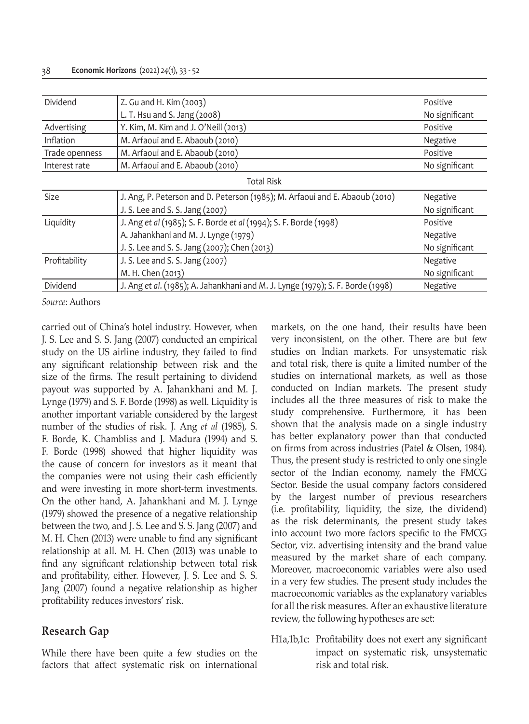| Dividend                    | Z. Gu and H. Kim (2003)                                                        | Positive       |  |  |  |  |  |
|-----------------------------|--------------------------------------------------------------------------------|----------------|--|--|--|--|--|
|                             | L. T. Hsu and S. Jang (2008)                                                   | No significant |  |  |  |  |  |
| Advertising                 | Y. Kim, M. Kim and J. O'Neill (2013)                                           | Positive       |  |  |  |  |  |
| Inflation                   | M. Arfaoui and E. Abaoub (2010)                                                | Negative       |  |  |  |  |  |
| Trade openness              | M. Arfaoui and E. Abaoub (2010)                                                | Positive       |  |  |  |  |  |
| Interest rate               | M. Arfaoui and E. Abaoub (2010)<br>No significant                              |                |  |  |  |  |  |
|                             | <b>Total Risk</b>                                                              |                |  |  |  |  |  |
| Size                        | J. Ang, P. Peterson and D. Peterson (1985); M. Arfaoui and E. Abaoub (2010)    | Negative       |  |  |  |  |  |
|                             | J. S. Lee and S. S. Jang (2007)                                                | No significant |  |  |  |  |  |
| Liquidity                   | J. Ang et al (1985); S. F. Borde et al (1994); S. F. Borde (1998)              | Positive       |  |  |  |  |  |
|                             | A. Jahankhani and M. J. Lynge (1979)                                           | Negative       |  |  |  |  |  |
|                             | J. S. Lee and S. S. Jang (2007); Chen (2013)                                   | No significant |  |  |  |  |  |
| Profitability               | J. S. Lee and S. S. Jang (2007)                                                | Negative       |  |  |  |  |  |
|                             | M. H. Chen (2013)                                                              | No significant |  |  |  |  |  |
| Dividend                    | J. Ang et al. (1985); A. Jahankhani and M. J. Lynge (1979); S. F. Borde (1998) | Negative       |  |  |  |  |  |
| $\sim$ $\sim$ $\sim$ $\sim$ |                                                                                |                |  |  |  |  |  |

carried out of China's hotel industry. However, when J. S. Lee and S. S. Jang (2007) conducted an empirical study on the US airline industry, they failed to find any significant relationship between risk and the size of the firms. The result pertaining to dividend payout was supported by A. Jahankhani and M. J. Lynge (1979) and S. F. Borde (1998) as well. Liquidity is another important variable considered by the largest number of the studies of risk. J. Ang *et al* (1985), S. F. Borde, K. Chambliss and J. Madura (1994) and S. F. Borde (1998) showed that higher liquidity was the cause of concern for investors as it meant that the companies were not using their cash efficiently and were investing in more short-term investments. On the other hand, A. Jahankhani and M. J. Lynge (1979) showed the presence of a negative relationship between the two, and J. S. Lee and S. S. Jang (2007) and M. H. Chen (2013) were unable to find any significant relationship at all. M. H. Chen (2013) was unable to find any significant relationship between total risk and profitability, either. However, J. S. Lee and S. S. Jang (2007) found a negative relationship as higher profitability reduces investors' risk.

## **Research Gap**

While there have been quite a few studies on the factors that affect systematic risk on international markets, on the one hand, their results have been very inconsistent, on the other. There are but few studies on Indian markets. For unsystematic risk and total risk, there is quite a limited number of the studies on international markets, as well as those conducted on Indian markets. The present study includes all the three measures of risk to make the study comprehensive. Furthermore, it has been shown that the analysis made on a single industry has better explanatory power than that conducted on firms from across industries (Patel & Olsen, 1984). Thus, the present study is restricted to only one single sector of the Indian economy, namely the FMCG Sector. Beside the usual company factors considered by the largest number of previous researchers (i.e. profitability, liquidity, the size, the dividend) as the risk determinants, the present study takes into account two more factors specific to the FMCG Sector, viz. advertising intensity and the brand value measured by the market share of each company. Moreover, macroeconomic variables were also used in a very few studies. The present study includes the macroeconomic variables as the explanatory variables for all the risk measures. After an exhaustive literature review, the following hypotheses are set:

H1a,1b,1c: Profitability does not exert any significant impact on systematic risk, unsystematic risk and total risk.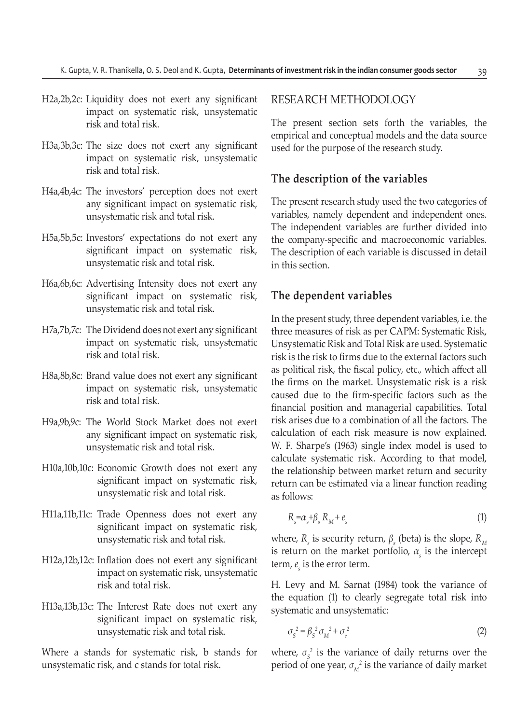- H2a,2b,2c: Liquidity does not exert any significant impact on systematic risk, unsystematic risk and total risk.
- H3a,3b,3c: The size does not exert any significant impact on systematic risk, unsystematic risk and total risk.
- H4a,4b,4c: The investors' perception does not exert any significant impact on systematic risk, unsystematic risk and total risk.
- H5a,5b,5c: Investors' expectations do not exert any significant impact on systematic risk, unsystematic risk and total risk.
- H6a,6b,6c: Advertising Intensity does not exert any significant impact on systematic risk, unsystematic risk and total risk.
- H7a,7b,7c: The Dividend does not exert any significant impact on systematic risk, unsystematic risk and total risk.
- H8a,8b,8c: Brand value does not exert any significant impact on systematic risk, unsystematic risk and total risk.
- H9a,9b,9c: The World Stock Market does not exert any significant impact on systematic risk, unsystematic risk and total risk.
- H10a,10b,10c: Economic Growth does not exert any significant impact on systematic risk, unsystematic risk and total risk.
- H11a,11b,11c: Trade Openness does not exert any significant impact on systematic risk, unsystematic risk and total risk.
- H12a,12b,12c: Inflation does not exert any significant impact on systematic risk, unsystematic risk and total risk.
- H13a,13b,13c: The Interest Rate does not exert any significant impact on systematic risk, unsystematic risk and total risk.

Where a stands for systematic risk, b stands for unsystematic risk, and c stands for total risk.

## RESEARCH METHODOLOGY

The present section sets forth the variables, the empirical and conceptual models and the data source used for the purpose of the research study.

## **The description of the variables**

The present research study used the two categories of variables, namely dependent and independent ones. The independent variables are further divided into the company-specific and macroeconomic variables. The description of each variable is discussed in detail in this section.

### **The dependent variables**

In the present study, three dependent variables, i.e. the three measures of risk as per CAPM: Systematic Risk, Unsystematic Risk and Total Risk are used. Systematic risk is the risk to firms due to the external factors such as political risk, the fiscal policy, etc., which affect all the firms on the market. Unsystematic risk is a risk caused due to the firm-specific factors such as the financial position and managerial capabilities. Total risk arises due to a combination of all the factors. The calculation of each risk measure is now explained. W. F. Sharpe's (1963) single index model is used to calculate systematic risk. According to that model, the relationship between market return and security return can be estimated via a linear function reading as follows:

$$
R_s = \alpha_s + \beta_s \, R_M + e_s \tag{1}
$$

where,  $R_s$  is security return,  $\beta_s$  (beta) is the slope,  $R_M$ is return on the market portfolio,  $\alpha_{s}$  is the intercept term,  $e<sub>s</sub>$  is the error term.

H. Levy and M. Sarnat (1984) took the variance of the equation (1) to clearly segregate total risk into systematic and unsystematic:

$$
\sigma_s^2 = \beta_s^2 \sigma_M^2 + \sigma_e^2 \tag{2}
$$

where,  $\sigma_s^2$  is the variance of daily returns over the period of one year,  $\sigma_M^2$  is the variance of daily market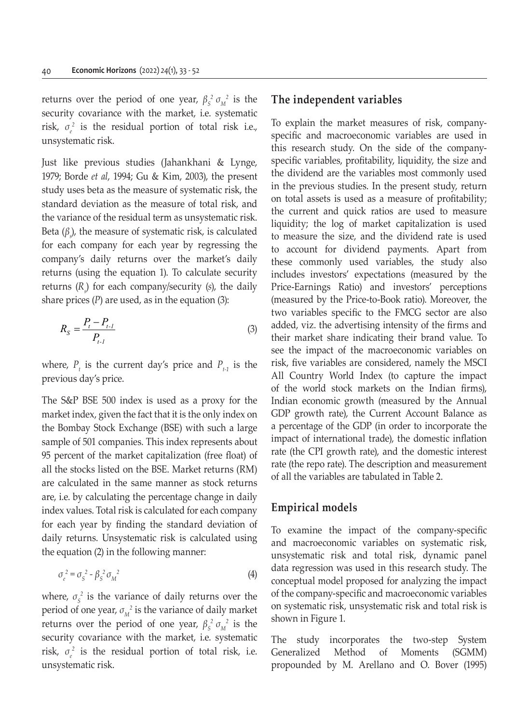returns over the period of one year,  $\beta_s^2 \sigma_M^2$  is the security covariance with the market, i.e. systematic risk,  $\sigma_e^2$  is the residual portion of total risk i.e., unsystematic risk.

Just like previous studies (Jahankhani & Lynge, 1979; Borde *et al*, 1994; Gu & Kim, 2003), the present study uses beta as the measure of systematic risk, the standard deviation as the measure of total risk, and the variance of the residual term as unsystematic risk. Beta (*β<sup>s</sup>* ), the measure of systematic risk, is calculated for each company for each year by regressing the company's daily returns over the market's daily returns (using the equation 1). To calculate security returns (*Rs* ) for each company/security (*s*), the daily share prices  $(P)$  are used, as in the equation  $(3)$ :

$$
R_{S} = \frac{P_{t} - P_{t-1}}{P_{t-1}}
$$
\n(3)

where,  $P_{t}$  is the current day's price and  $P_{t-1}$  is the previous day's price.

The S&P BSE 500 index is used as a proxy for the market index, given the fact that it is the only index on the Bombay Stock Exchange (BSE) with such a large sample of 501 companies. This index represents about 95 percent of the market capitalization (free float) of all the stocks listed on the BSE. Market returns (RM) are calculated in the same manner as stock returns are, i.e. by calculating the percentage change in daily index values. Total risk is calculated for each company for each year by finding the standard deviation of daily returns. Unsystematic risk is calculated using the equation (2) in the following manner:

$$
\sigma_e^2 = \sigma_s^2 - \beta_s^2 \sigma_M^2 \tag{4}
$$

where,  $\sigma_s^2$  is the variance of daily returns over the period of one year,  $\sigma_M^2$  is the variance of daily market returns over the period of one year,  $\beta_s^2 \sigma_M^2$  is the security covariance with the market, i.e. systematic risk,  $\sigma_e^2$  is the residual portion of total risk, i.e. unsystematic risk.

## **The independent variables**

To explain the market measures of risk, companyspecific and macroeconomic variables are used in this research study. On the side of the companyspecific variables, profitability, liquidity, the size and the dividend are the variables most commonly used in the previous studies. In the present study, return on total assets is used as a measure of profitability; the current and quick ratios are used to measure liquidity; the log of market capitalization is used to measure the size, and the dividend rate is used to account for dividend payments. Apart from these commonly used variables, the study also includes investors' expectations (measured by the Price-Earnings Ratio) and investors' perceptions (measured by the Price-to-Book ratio). Moreover, the two variables specific to the FMCG sector are also added, viz. the advertising intensity of the firms and their market share indicating their brand value. To see the impact of the macroeconomic variables on risk, five variables are considered, namely the MSCI All Country World Index (to capture the impact of the world stock markets on the Indian firms), Indian economic growth (measured by the Annual GDP growth rate), the Current Account Balance as a percentage of the GDP (in order to incorporate the impact of international trade), the domestic inflation rate (the CPI growth rate), and the domestic interest rate (the repo rate). The description and measurement of all the variables are tabulated in Table 2.

## **Empirical models**

To examine the impact of the company-specific and macroeconomic variables on systematic risk, unsystematic risk and total risk, dynamic panel data regression was used in this research study. The conceptual model proposed for analyzing the impact of the company-specific and macroeconomic variables on systematic risk, unsystematic risk and total risk is shown in Figure 1.

The study incorporates the two-step System Generalized Method of Moments (SGMM) propounded by M. Arellano and O. Bover (1995)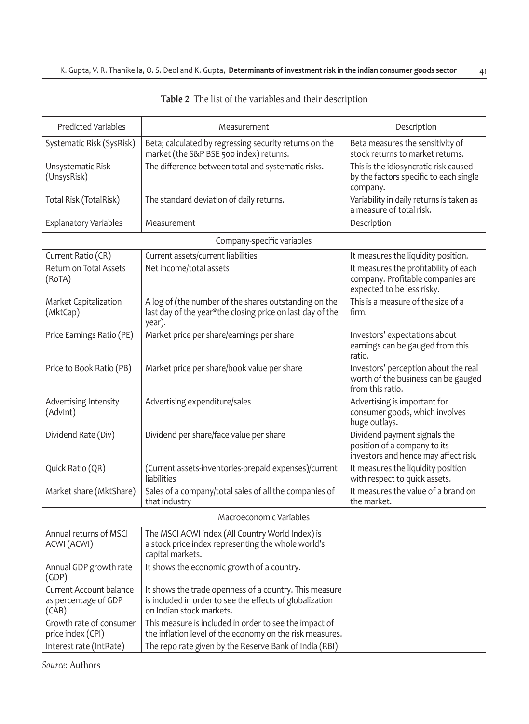| <b>Predicted Variables</b>                               | Measurement                                                                                                                                    | Description                                                                                              |  |  |  |  |  |  |
|----------------------------------------------------------|------------------------------------------------------------------------------------------------------------------------------------------------|----------------------------------------------------------------------------------------------------------|--|--|--|--|--|--|
| Systematic Risk (SysRisk)                                | Beta; calculated by regressing security returns on the<br>market (the S&P BSE 500 index) returns.                                              | Beta measures the sensitivity of<br>stock returns to market returns.                                     |  |  |  |  |  |  |
| Unsystematic Risk<br>(UnsysRisk)                         | The difference between total and systematic risks.                                                                                             | This is the idiosyncratic risk caused<br>by the factors specific to each single<br>company.              |  |  |  |  |  |  |
| Total Risk (TotalRisk)                                   | The standard deviation of daily returns.                                                                                                       | Variability in daily returns is taken as<br>a measure of total risk.                                     |  |  |  |  |  |  |
| <b>Explanatory Variables</b>                             | Measurement                                                                                                                                    | Description                                                                                              |  |  |  |  |  |  |
|                                                          | Company-specific variables                                                                                                                     |                                                                                                          |  |  |  |  |  |  |
| Current Ratio (CR)                                       | Current assets/current liabilities                                                                                                             | It measures the liquidity position.                                                                      |  |  |  |  |  |  |
| <b>Return on Total Assets</b><br>(RoTA)                  | Net income/total assets                                                                                                                        | It measures the profitability of each<br>company. Profitable companies are<br>expected to be less risky. |  |  |  |  |  |  |
| Market Capitalization<br>(MktCap)                        | A log of (the number of the shares outstanding on the<br>last day of the year*the closing price on last day of the<br>year).                   | This is a measure of the size of a<br>firm.                                                              |  |  |  |  |  |  |
| Price Earnings Ratio (PE)                                | Market price per share/earnings per share                                                                                                      | Investors' expectations about<br>earnings can be gauged from this<br>ratio.                              |  |  |  |  |  |  |
| Price to Book Ratio (PB)                                 | Market price per share/book value per share                                                                                                    | Investors' perception about the real<br>worth of the business can be gauged<br>from this ratio.          |  |  |  |  |  |  |
| Advertising Intensity<br>(Advint)                        | Advertising expenditure/sales                                                                                                                  | Advertising is important for<br>consumer goods, which involves<br>huge outlays.                          |  |  |  |  |  |  |
| Dividend Rate (Div)                                      | Dividend per share/face value per share                                                                                                        | Dividend payment signals the<br>position of a company to its<br>investors and hence may affect risk.     |  |  |  |  |  |  |
| Quick Ratio (QR)                                         | (Current assets-inventories-prepaid expenses)/current<br>liabilities                                                                           | It measures the liquidity position<br>with respect to quick assets.                                      |  |  |  |  |  |  |
| Market share (MktShare)                                  | Sales of a company/total sales of all the companies of<br>that industry                                                                        | It measures the value of a brand on<br>the market.                                                       |  |  |  |  |  |  |
|                                                          | Macroeconomic Variables                                                                                                                        |                                                                                                          |  |  |  |  |  |  |
| Annual returns of MSCI<br>ACWI (ACWI)                    | The MSCI ACWI index (All Country World Index) is<br>a stock price index representing the whole world's<br>capital markets.                     |                                                                                                          |  |  |  |  |  |  |
| Annual GDP growth rate<br>(GDP)                          | It shows the economic growth of a country.                                                                                                     |                                                                                                          |  |  |  |  |  |  |
| Current Account balance<br>as percentage of GDP<br>(CAB) | It shows the trade openness of a country. This measure<br>is included in order to see the effects of globalization<br>on Indian stock markets. |                                                                                                          |  |  |  |  |  |  |
| Growth rate of consumer<br>price index (CPI)             | This measure is included in order to see the impact of<br>the inflation level of the economy on the risk measures.                             |                                                                                                          |  |  |  |  |  |  |
| Interest rate (IntRate)                                  | The repo rate given by the Reserve Bank of India (RBI)                                                                                         |                                                                                                          |  |  |  |  |  |  |

**Table 2** The list of the variables and their description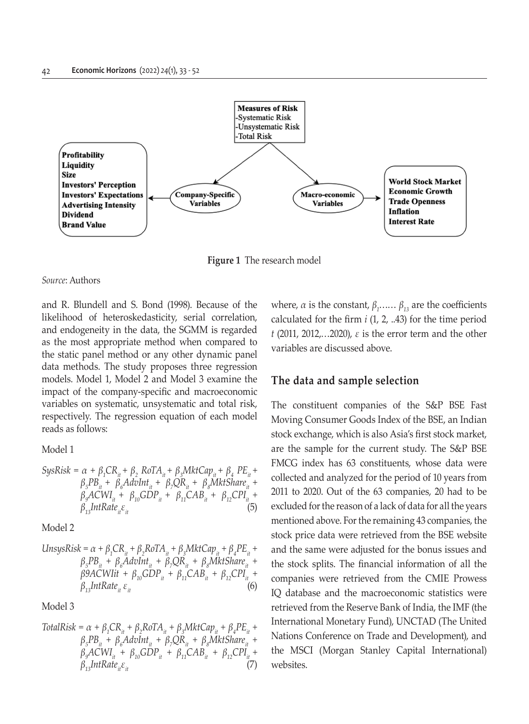

**Figure 1** The research model

and R. Blundell and S. Bond (1998). Because of the likelihood of heteroskedasticity, serial correlation, and endogeneity in the data, the SGMM is regarded as the most appropriate method when compared to the static panel method or any other dynamic panel data methods. The study proposes three regression models. Model 1, Model 2 and Model 3 examine the impact of the company-specific and macroeconomic variables on systematic, unsystematic and total risk, respectively. The regression equation of each model reads as follows:

Model 1

$$
SysRisk = \alpha + \beta_1 CR_{it} + \beta_2 ROTA_{it} + \beta_3 MktCap_{it} + \beta_4 PE_{it} + \n\beta_5 PB_{it} + \beta_6 AdvInt_{it} + \beta_7 QR_{it} + \beta_8 MktShare_{it} + \n\beta_9 ACWI_{it} + \beta_{10} GDP_{it} + \beta_{11} CAB_{it} + \beta_{12} CPI_{it} + \n\beta_{13} IntRate_{it} \varepsilon_{it}
$$
\n(5)

Model 2

$$
UnsysRisk = \alpha + \beta_1 CR_{ii} + \beta_2 RoTA_{ii} + \beta_3 MktCap_{ii} + \beta_4 PE_{ii} + \n\beta_5 PB_{ii} + \beta_6 AdvInt_{ii} + \beta_7 QR_{ii} + \beta_8 MktShare_{ii} + \n\beta 9 ACWlit + \beta_{10} GDP_{ii} + \beta_{11} CAB_{ii} + \beta_{12} CPI_{ii} + \n\beta_{13} IntRate_{ii} \varepsilon_{ii}
$$
\n(6)

Model 3

$$
TotalRisk = \alpha + \beta_1 CR_{it} + \beta_2 ROTA_{it} + \beta_3 MktCap_{it} + \beta_4 PE_{it} + \n\beta_5 PB_{it} + \beta_6 AdvInt_{it} + \beta_7 QR_{it} + \beta_8 MktShare_{it} + \n\beta_9 ACWI_{it} + \beta_{10} GDP_{it} + \beta_{11} CAB_{it} + \beta_{12} CPI_{it} + \n\beta_{13} IntRate_{it} \varepsilon_{it}
$$
\n(7)

where,  $\alpha$  is the constant,  $\beta_1$ .....,  $\beta_{13}$  are the coefficients calculated for the firm *i* (1, 2, ..43) for the time period *t* (2011, 2012,…2020), *ε* is the error term and the other variables are discussed above.

## **The data and sample selection**

The constituent companies of the S&P BSE Fast Moving Consumer Goods Index of the BSE, an Indian stock exchange, which is also Asia's first stock market, are the sample for the current study. The S&P BSE FMCG index has 63 constituents, whose data were collected and analyzed for the period of 10 years from 2011 to 2020. Out of the 63 companies, 20 had to be excluded for the reason of a lack of data for all the years mentioned above. For the remaining 43 companies, the stock price data were retrieved from the BSE website and the same were adjusted for the bonus issues and the stock splits. The financial information of all the companies were retrieved from the CMIE Prowess IQ database and the macroeconomic statistics were retrieved from the Reserve Bank of India, the IMF (the International Monetary Fund), UNCTAD (The United Nations Conference on Trade and Development), and the MSCI (Morgan Stanley Capital International) websites.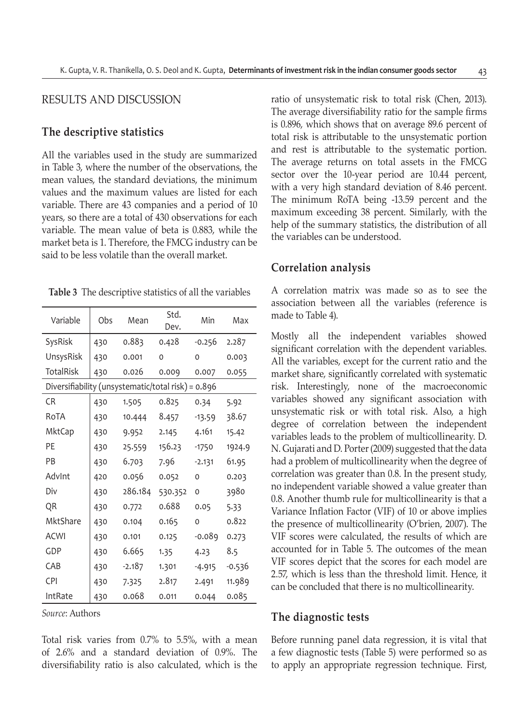## RESULTS AND DISCUSSION

## **The descriptive statistics**

All the variables used in the study are summarized in Table 3, where the number of the observations, the mean values, the standard deviations, the minimum values and the maximum values are listed for each variable. There are 43 companies and a period of 10 years, so there are a total of 430 observations for each variable. The mean value of beta is 0.883, while the market beta is 1. Therefore, the FMCG industry can be said to be less volatile than the overall market.

**Table 3** The descriptive statistics of all the variables

| Variable                                           | Obs | Mean     | Std.<br>Dev. | Min      | Max    |
|----------------------------------------------------|-----|----------|--------------|----------|--------|
| SysRisk                                            | 430 | 0.883    | 0.428        | $-0.256$ | 2.287  |
| UnsysRisk                                          | 430 | 0.001    | 0            | $\Omega$ | 0.003  |
| <b>TotalRisk</b>                                   | 430 | 0.026    | 0.009        | 0.007    | 0.055  |
| Diversifiability (unsystematic/total risk) = 0.896 |     |          |              |          |        |
| C <sub>R</sub>                                     | 430 | 1.505    | 0.825        | 0.34     | 5.92   |
| RoTA                                               | 430 | 10.444   | 8.457        | $-13.59$ | 38.67  |
| <b>MktCap</b>                                      | 430 | 9.952    | 2.145        | 4.161    | 15.42  |
| PF                                                 | 430 | 25.559   | 156.23       | $-1750$  | 1924.9 |
| PB                                                 | 430 | 6.703    | 7.96         | $-2.131$ | 61.95  |
| AdvInt                                             | 420 | 0.056    | 0.052        | $\Omega$ | 0.203  |
| Div                                                | 430 | 286.184  | 530.352      | $\Omega$ | 3980   |
| QR                                                 | 430 | 0.772    | 0.688        | 0.05     | 5.33   |
| MktShare                                           | 430 | 0.104    | 0.165        | 0        | 0.822  |
| <b>ACWI</b>                                        | 430 | 0.101    | 0.125        | -0.089   | 0.273  |
| GDP                                                | 430 | 6.665    | 1.35         | 4.23     | 8.5    |
| CAB                                                | 430 | $-2.187$ | 1.301        | $-4.915$ | -0.536 |
| <b>CPI</b>                                         | 430 | 7.325    | 2.817        | 2.491    | 11.989 |
| IntRate                                            | 430 | 0.068    | 0.011        | 0.044    | 0.085  |

*Source*: Authors

Total risk varies from 0.7% to 5.5%, with a mean of 2.6% and a standard deviation of 0.9%. The diversifiability ratio is also calculated, which is the ratio of unsystematic risk to total risk (Chen, 2013). The average diversifiability ratio for the sample firms is 0.896, which shows that on average 89.6 percent of total risk is attributable to the unsystematic portion and rest is attributable to the systematic portion. The average returns on total assets in the FMCG sector over the 10-year period are 10.44 percent, with a very high standard deviation of 8.46 percent. The minimum RoTA being -13.59 percent and the maximum exceeding 38 percent. Similarly, with the help of the summary statistics, the distribution of all the variables can be understood.

## **Correlation analysis**

A correlation matrix was made so as to see the association between all the variables (reference is made to Table 4).

Mostly all the independent variables showed significant correlation with the dependent variables. All the variables, except for the current ratio and the market share, significantly correlated with systematic risk. Interestingly, none of the macroeconomic variables showed any significant association with unsystematic risk or with total risk. Also, a high degree of correlation between the independent variables leads to the problem of multicollinearity. D. N. Gujarati and D. Porter (2009) suggested that the data had a problem of multicollinearity when the degree of correlation was greater than 0.8. In the present study, no independent variable showed a value greater than 0.8. Another thumb rule for multicollinearity is that a Variance Inflation Factor (VIF) of 10 or above implies the presence of multicollinearity (O'brien, 2007). The VIF scores were calculated, the results of which are accounted for in Table 5. The outcomes of the mean VIF scores depict that the scores for each model are 2.57, which is less than the threshold limit. Hence, it can be concluded that there is no multicollinearity.

#### **The diagnostic tests**

Before running panel data regression, it is vital that a few diagnostic tests (Table 5) were performed so as to apply an appropriate regression technique. First,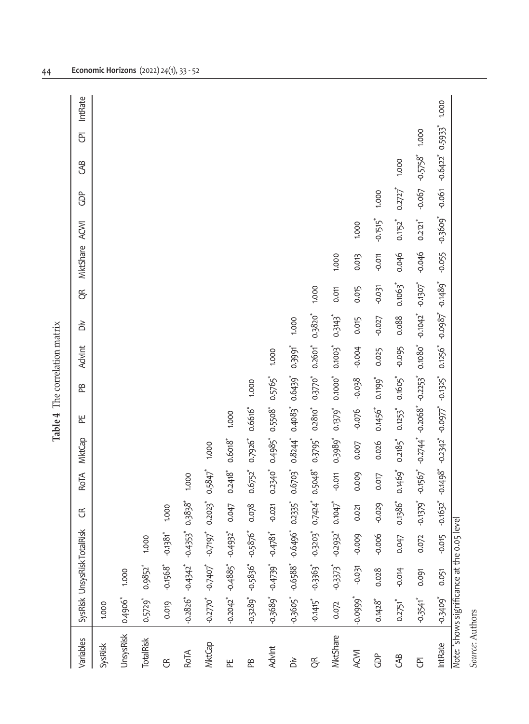| Variables                                   |                        | SysRisk UnsysRisk TotalRisk                           |                     | E                      | <b>RoTA</b>                                                                     | <b>MktCap</b>                           | 뿐            | Æ                     | Advint                    | òĭ                    | Ę                     | MktShare | ACMI                   | ĝ                     | S                    | ē     | IntRate |
|---------------------------------------------|------------------------|-------------------------------------------------------|---------------------|------------------------|---------------------------------------------------------------------------------|-----------------------------------------|--------------|-----------------------|---------------------------|-----------------------|-----------------------|----------|------------------------|-----------------------|----------------------|-------|---------|
| SysRisk                                     | 1.000                  |                                                       |                     |                        |                                                                                 |                                         |              |                       |                           |                       |                       |          |                        |                       |                      |       |         |
| UnsysRisk                                   | 0.4906*                | 1.000                                                 |                     |                        |                                                                                 |                                         |              |                       |                           |                       |                       |          |                        |                       |                      |       |         |
| <b>TotalRisk</b>                            | 0.5729                 | 0.9852*                                               | 1.000               |                        |                                                                                 |                                         |              |                       |                           |                       |                       |          |                        |                       |                      |       |         |
| E                                           | 0.019                  |                                                       | $-0.1568$ $-0.1381$ | 1.000                  |                                                                                 |                                         |              |                       |                           |                       |                       |          |                        |                       |                      |       |         |
| RoTA                                        |                        | $-0.2826$ $-0.4342$ $-0.4353$                         |                     | $0.3838*$              | 1.000                                                                           |                                         |              |                       |                           |                       |                       |          |                        |                       |                      |       |         |
| <b>MktCap</b>                               |                        | $-0.2770$ $-0.7407$ $-0.7197$                         |                     | $0.2023$ <sup>*</sup>  | 0.5847                                                                          | 1.000                                   |              |                       |                           |                       |                       |          |                        |                       |                      |       |         |
| 뿐                                           |                        | $-0.2042$ $-0.4885$ $-0.4932$                         |                     | 0.047                  | $0.2418$ <sup>*</sup>                                                           | $0.6018*$                               | 1.000        |                       |                           |                       |                       |          |                        |                       |                      |       |         |
| æ                                           |                        | $-0.3289$ $-0.5836$ $-0.5876$                         |                     | 0.078                  | 0.6752*                                                                         | 0.7926*                                 | 0.6616*      | 1.000                 |                           |                       |                       |          |                        |                       |                      |       |         |
| Advint                                      |                        | $-0.3689'' -0.4739'' -0.4781''$                       |                     | $-0.021$               | 0.2340*                                                                         | 0.4985*                                 | 0.5508*      | 0.5765*               | 1.000                     |                       |                       |          |                        |                       |                      |       |         |
| òò                                          |                        | 0.3605 -0.6588 -0.6496                                |                     | 0.2335*                |                                                                                 | $0.6703$ $0.8244$ $0.4083$              |              | 0.6439                | 0.3991*                   | 1.000                 |                       |          |                        |                       |                      |       |         |
| ER.                                         |                        | $-0.1415$ $-0.3363$ $-0.3203$                         |                     | 0.7424                 |                                                                                 | 0.5048 0.3795 0.2810                    |              | 0.3770" 0.2601"       |                           | 0.3820                | 1.000                 |          |                        |                       |                      |       |         |
| MktShare                                    |                        | $0.072$ $-0.3373$ <sup>*</sup> $-0.2932$ <sup>*</sup> |                     | $0.1047$ <sup>*</sup>  |                                                                                 | $-0.011$ $0.3989$ $0.1379$              |              | 0.1000 0.1003         |                           | $0.3143$ <sup>*</sup> | 0.011                 | 1.000    |                        |                       |                      |       |         |
| ACWI                                        |                        | -0.0999* -0.031 -0.009                                |                     | 0.021                  | 0.009                                                                           |                                         | 0.007 -0.076 | $-0.038$              | $-0.004$                  | 0.015                 | 0.015                 | 0.013    | 1.000                  |                       |                      |       |         |
| <b>GDP</b>                                  | $0.1428$ <sup>*</sup>  | 0.028                                                 | $-0.006$            | $-0.029$               | 0.017                                                                           | 0.026                                   | 0.1456*      | 0.1199                | 0.025                     | $-0.027$              | $-0.031$              | $-0.011$ | $-0.1515$ <sup>*</sup> | 1.000                 |                      |       |         |
| $\mathcal{B}$                               | 0.2751*                | $-0.014$                                              | 0.047               | 0.1386*                |                                                                                 | 0.1469" 0.2185" 0.1253"                 |              | $0.1605$ <sup>*</sup> | -0.095 0.088              |                       | $0.1065$ <sup>*</sup> | 0.046    | $0.1152$ <sup>*</sup>  | $0.2727$ <sup>*</sup> | 1.000                |       |         |
| ē,                                          | $-0.3541$ <sup>*</sup> | 0.091                                                 | 0.072               |                        | $-0.1379$ $-0.1567$ $-0.2744$ $-0.2068$ $-0.2253$ $-0.1080$ $-0.1042$ $-0.1307$ |                                         |              |                       |                           |                       |                       | $-0.046$ | $0.2121$ <sup>*</sup>  |                       | $-0.067$ $-0.5758$ * | 1.000 |         |
| IntRate                                     | $-0.3409$              | 0.051                                                 | $-0.015$            | $-0.1632$ <sup>*</sup> |                                                                                 | $-0.1498$ $-0.2342$ $-0.0977$ $-0.1325$ |              |                       | 0.1256" -0.0987" -0.1489" |                       |                       | $-0.055$ | $-0.3609$              | $-0.061$              | $-0.6422$ $0.5933$   |       | 1.000   |
| Note: *shows significance at the 0.05 level |                        |                                                       |                     |                        |                                                                                 |                                         |              |                       |                           |                       |                       |          |                        |                       |                      |       |         |

Table 4 The correlation matrix **Table 4** The correlation matrix

Source: Authors *Source*: Authors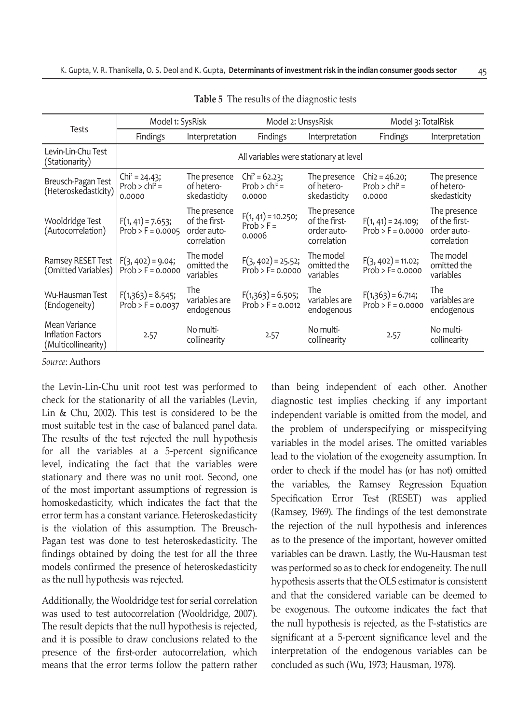|                                                                  | Model 1: SysRisk                              |                                                             | Model 2: UnsysRisk                             |                                                             |                                               | Model 3: TotalRisk                                          |  |
|------------------------------------------------------------------|-----------------------------------------------|-------------------------------------------------------------|------------------------------------------------|-------------------------------------------------------------|-----------------------------------------------|-------------------------------------------------------------|--|
| Tests                                                            | <b>Findings</b>                               | Interpretation                                              | <b>Findings</b>                                | Interpretation                                              | Findings                                      | Interpretation                                              |  |
| Levin-Lin-Chu Test<br>(Stationarity)                             |                                               |                                                             | All variables were stationary at level         |                                                             |                                               |                                                             |  |
| Breusch-Pagan Test<br>(Heteroskedasticity)                       | $Chi2 = 24.43;$<br>$Prob > chi^2 =$<br>0.0000 | The presence<br>of hetero-<br>skedasticity                  | $Chi = 62.23$ ;<br>Prob > $chi2$ =<br>0.0000   | The presence<br>of hetero-<br>skedasticity                  | $Chi = 46.20$ ;<br>$Prob > chi^2 =$<br>0.0000 | The presence<br>of hetero-<br>skedasticity                  |  |
| Wooldridge Test<br>(Autocorrelation)                             | $F(1, 41) = 7.653;$<br>$Prob > F = 0.0005$    | The presence<br>of the first-<br>order auto-<br>correlation | $F(1, 41) = 10.250;$<br>$Prob > F =$<br>0.0006 | The presence<br>of the first-<br>order auto-<br>correlation | $F(1, 41) = 24.109;$<br>$Prob > F = 0.0000$   | The presence<br>of the first-<br>order auto-<br>correlation |  |
| Ramsey RESET Test<br>(Omitted Variables)                         | $F(3, 402) = 9.04;$<br>$Prob > F = 0.0000$    | The model<br>omitted the<br>variables                       | $F(3, 402) = 25.52;$<br>$Prob > F = 0.0000$    | The model<br>omitted the<br>variables                       | $F(3, 402) = 11.02;$<br>$Prob > F = 0.0000$   | The model<br>omitted the<br>variables                       |  |
| Wu-Hausman Test<br>(Endogeneity)                                 | $F(1,363) = 8.545;$<br>$Prob > F = 0.0037$    | The<br>variables are<br>endogenous                          | $F(1,363) = 6.505;$<br>$Prob > F = 0.0012$     | The<br>variables are<br>endogenous                          | $F(1,363) = 6.714;$<br>$Prob > F = 0.0000$    | The<br>variables are<br>endogenous                          |  |
| Mean Variance<br><b>Inflation Factors</b><br>(Multicollinearity) | 2.57                                          | No multi-<br>collinearity                                   | 2.57                                           | No multi-<br>collinearity                                   | 2.57                                          | No multi-<br>collinearity                                   |  |

**Table 5** The results of the diagnostic tests

the Levin-Lin-Chu unit root test was performed to check for the stationarity of all the variables (Levin, Lin & Chu, 2002). This test is considered to be the most suitable test in the case of balanced panel data. The results of the test rejected the null hypothesis for all the variables at a 5-percent significance level, indicating the fact that the variables were stationary and there was no unit root. Second, one of the most important assumptions of regression is homoskedasticity, which indicates the fact that the error term has a constant variance. Heteroskedasticity is the violation of this assumption. The Breusch-Pagan test was done to test heteroskedasticity. The findings obtained by doing the test for all the three models confirmed the presence of heteroskedasticity as the null hypothesis was rejected.

Additionally, the Wooldridge test for serial correlation was used to test autocorrelation (Wooldridge, 2007). The result depicts that the null hypothesis is rejected, and it is possible to draw conclusions related to the presence of the first-order autocorrelation, which means that the error terms follow the pattern rather than being independent of each other. Another diagnostic test implies checking if any important independent variable is omitted from the model, and the problem of underspecifying or misspecifying variables in the model arises. The omitted variables lead to the violation of the exogeneity assumption. In order to check if the model has (or has not) omitted the variables, the Ramsey Regression Equation Specification Error Test (RESET) was applied (Ramsey, 1969). The findings of the test demonstrate the rejection of the null hypothesis and inferences as to the presence of the important, however omitted variables can be drawn. Lastly, the Wu-Hausman test was performed so as to check for endogeneity. The null hypothesis asserts that the OLS estimator is consistent and that the considered variable can be deemed to be exogenous. The outcome indicates the fact that the null hypothesis is rejected, as the F-statistics are significant at a 5-percent significance level and the interpretation of the endogenous variables can be concluded as such (Wu, 1973; Hausman, 1978).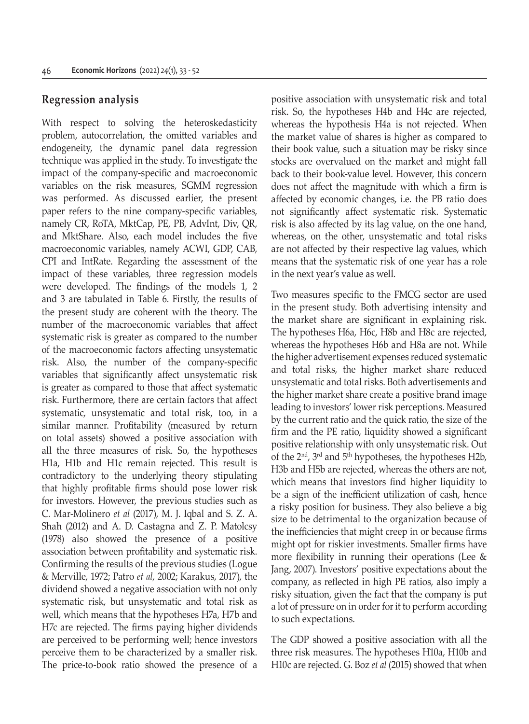## **Regression analysis**

With respect to solving the heteroskedasticity problem, autocorrelation, the omitted variables and endogeneity, the dynamic panel data regression technique was applied in the study. To investigate the impact of the company-specific and macroeconomic variables on the risk measures, SGMM regression was performed. As discussed earlier, the present paper refers to the nine company-specific variables, namely CR, RoTA, MktCap, PE, PB, AdvInt, Div, QR, and MktShare. Also, each model includes the five macroeconomic variables, namely ACWI, GDP, CAB, CPI and IntRate. Regarding the assessment of the impact of these variables, three regression models were developed. The findings of the models 1, 2 and 3 are tabulated in Table 6. Firstly, the results of the present study are coherent with the theory. The number of the macroeconomic variables that affect systematic risk is greater as compared to the number of the macroeconomic factors affecting unsystematic risk. Also, the number of the company-specific variables that significantly affect unsystematic risk is greater as compared to those that affect systematic risk. Furthermore, there are certain factors that affect systematic, unsystematic and total risk, too, in a similar manner. Profitability (measured by return on total assets) showed a positive association with all the three measures of risk. So, the hypotheses H1a, H1b and H1c remain rejected. This result is contradictory to the underlying theory stipulating that highly profitable firms should pose lower risk for investors. However, the previous studies such as C. Mar-Molinero *et al* (2017), M. J. Iqbal and S. Z. A. Shah (2012) and A. D. Castagna and Z. P. Matolcsy (1978) also showed the presence of a positive association between profitability and systematic risk. Confirming the results of the previous studies (Logue & Merville, 1972; Patro *et al*, 2002; Karakus, 2017), the dividend showed a negative association with not only systematic risk, but unsystematic and total risk as well, which means that the hypotheses H7a, H7b and H7c are rejected. The firms paying higher dividends are perceived to be performing well; hence investors perceive them to be characterized by a smaller risk. The price-to-book ratio showed the presence of a

positive association with unsystematic risk and total risk. So, the hypotheses H4b and H4c are rejected, whereas the hypothesis H4a is not rejected. When the market value of shares is higher as compared to their book value, such a situation may be risky since stocks are overvalued on the market and might fall back to their book-value level. However, this concern does not affect the magnitude with which a firm is affected by economic changes, i.e. the PB ratio does not significantly affect systematic risk. Systematic risk is also affected by its lag value, on the one hand, whereas, on the other, unsystematic and total risks are not affected by their respective lag values, which means that the systematic risk of one year has a role in the next year's value as well.

Two measures specific to the FMCG sector are used in the present study. Both advertising intensity and the market share are significant in explaining risk. The hypotheses H6a, H6c, H8b and H8c are rejected, whereas the hypotheses H6b and H8a are not. While the higher advertisement expenses reduced systematic and total risks, the higher market share reduced unsystematic and total risks. Both advertisements and the higher market share create a positive brand image leading to investors' lower risk perceptions. Measured by the current ratio and the quick ratio, the size of the firm and the PE ratio, liquidity showed a significant positive relationship with only unsystematic risk. Out of the  $2<sup>nd</sup>$ ,  $3<sup>rd</sup>$  and  $5<sup>th</sup>$  hypotheses, the hypotheses H2b, H3b and H5b are rejected, whereas the others are not, which means that investors find higher liquidity to be a sign of the inefficient utilization of cash, hence a risky position for business. They also believe a big size to be detrimental to the organization because of the inefficiencies that might creep in or because firms might opt for riskier investments. Smaller firms have more flexibility in running their operations (Lee & Jang, 2007). Investors' positive expectations about the company, as reflected in high PE ratios, also imply a risky situation, given the fact that the company is put a lot of pressure on in order for it to perform according to such expectations.

The GDP showed a positive association with all the three risk measures. The hypotheses H10a, H10b and H10c are rejected. G. Boz *et al* (2015) showed that when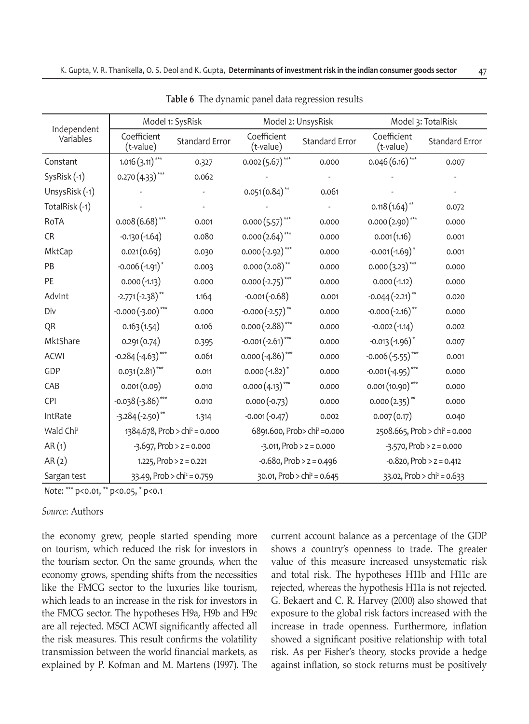|                          | Model 1: SysRisk                          |                                        |                                             | Model 2: UnsysRisk          | Model 3: TotalRisk                           |                                        |  |
|--------------------------|-------------------------------------------|----------------------------------------|---------------------------------------------|-----------------------------|----------------------------------------------|----------------------------------------|--|
| Independent<br>Variables | Coefficient<br>(t-value)                  | <b>Standard Error</b>                  | Coefficient<br>(t-value)                    | <b>Standard Error</b>       | Coefficient<br>(t-value)                     | <b>Standard Error</b>                  |  |
| Constant                 | $1.016 (3.11)$ ***                        | 0.327                                  | $0.002(5.67)$ ***                           | 0.000                       | $0.046(6.16)$ ***                            | 0.007                                  |  |
| SysRisk (-1)             | $0.270(4.33)$ ***                         | 0.062                                  |                                             |                             |                                              |                                        |  |
| UnsysRisk (-1)           |                                           |                                        | $0.051(0.84)$ **                            | 0.061                       |                                              |                                        |  |
| TotalRisk (-1)           |                                           |                                        |                                             |                             | $0.118(1.64)$ **                             | 0.072                                  |  |
| RoTA                     | $0.008(6.68)$ ***                         | 0.001                                  | $0.000(5.57)$ ***                           | 0.000                       | $0.000(2.90)$ ***                            | 0.000                                  |  |
| <b>CR</b>                | $-0.130(-1.64)$                           | 0.080                                  | $0.000(2.64)$ ***                           | 0.000                       | 0.001(1.16)                                  | 0.001                                  |  |
| MktCap                   | 0.021(0.69)                               | 0.030                                  | $0.000(-2.92)$ ***                          | 0.000                       | $-0.001(-1.69)^*$                            | 0.001                                  |  |
| PB                       | $-0.006(-1.91)^*$                         | 0.003                                  | $0.000(2.08)$ **                            | 0.000                       | $0.000(3.23)$ ***                            | 0.000                                  |  |
| PE                       | $0.000(-1.13)$                            | 0.000                                  | $0.000(-2.75)$ ***                          | 0.000                       | $0.000(-1.12)$                               | 0.000                                  |  |
| AdvInt                   | $-2.771(-2.38)$ **                        | 1.164                                  | $-0.001(-0.68)$                             | 0.001                       | $-0.044(-2.21)$ **                           | 0.020                                  |  |
| Div                      | $-0.000(-3.00)$ ***                       | 0.000                                  | $-0.000(-2.57)$ **                          | 0.000                       | $-0.000(-2.16)$ **                           | 0.000                                  |  |
| QR                       | 0.163(1.54)                               | 0.106                                  | $0.000(-2.88)$ ***                          | 0.000                       | $-0.002(-1.14)$                              | 0.002                                  |  |
| MktShare                 | 0.291(0.74)                               | 0.395                                  | $-0.001(-2.61)$ ***                         | 0.000                       | $-0.013(-1.96)^*$                            | 0.007                                  |  |
| <b>ACWI</b>              | $-0.284(-4.63)$ ***                       | 0.061                                  | $0.000(-4.86)$ ***                          | 0.000                       | $-0.006(-5.55)$ ***                          | 0.001                                  |  |
| GDP                      | $0.031(2.81)$ ***                         | 0.011                                  | $0.000(-1.82)^*$                            | 0.000                       | $-0.001(-4.95)$ ***                          | 0.000                                  |  |
| CAB                      | 0.001(0.09)                               | 0.010                                  | $0.000(4.13)$ ***                           | 0.000                       | $0.001(10.90)$ ***                           | 0.000                                  |  |
| <b>CPI</b>               | $-0.038(-3.86)$ ***                       | 0.010                                  | $0.000(-0.73)$                              | 0.000                       | $0.000(2.35)$ **                             | 0.000                                  |  |
| IntRate                  | $-3.284(-2.50)$ **                        | 1.314                                  | $-0.001(-0.47)$                             | 0.002                       | 0.007(0.17)                                  | 0.040                                  |  |
| Wald Chi <sup>2</sup>    | 1384.678, Prob > chi <sup>2</sup> = 0.000 |                                        | 6891.600, Prob> chi <sup>2</sup> = 0.000    |                             | $2508.665$ , Prob > chi <sup>2</sup> = 0.000 |                                        |  |
| AR(1)                    | $-3.697$ , Prob > z = 0.000               |                                        |                                             | $-3.011$ , Prob > z = 0.000 |                                              | $-3.570$ , Prob > z = 0.000            |  |
| AR(2)                    |                                           | 1.225, Prob > $z = 0.221$              |                                             | $-0.680$ , Prob > z = 0.496 |                                              | $-0.820$ , Prob > z = 0.412            |  |
| Sargan test              |                                           | 33.49, Prob > chi <sup>2</sup> = 0.759 | $30.01$ , Prob > chi <sup>2</sup> = $0.645$ |                             |                                              | 33.02, Prob > chi <sup>2</sup> = 0.633 |  |

**Table 6** The dynamic panel data regression results

*Note*: \*\*\* p<0.01, \*\* p<0.05, \* p<0.1

#### *Source*: Authors

the economy grew, people started spending more on tourism, which reduced the risk for investors in the tourism sector. On the same grounds, when the economy grows, spending shifts from the necessities like the FMCG sector to the luxuries like tourism, which leads to an increase in the risk for investors in the FMCG sector. The hypotheses H9a, H9b and H9c are all rejected. MSCI ACWI significantly affected all the risk measures. This result confirms the volatility transmission between the world financial markets, as explained by P. Kofman and M. Martens (1997). The current account balance as a percentage of the GDP shows a country's openness to trade. The greater value of this measure increased unsystematic risk and total risk. The hypotheses H11b and H11c are rejected, whereas the hypothesis H11a is not rejected. G. Bekaert and C. R. Harvey (2000) also showed that exposure to the global risk factors increased with the increase in trade openness. Furthermore, inflation showed a significant positive relationship with total risk. As per Fisher's theory, stocks provide a hedge against inflation, so stock returns must be positively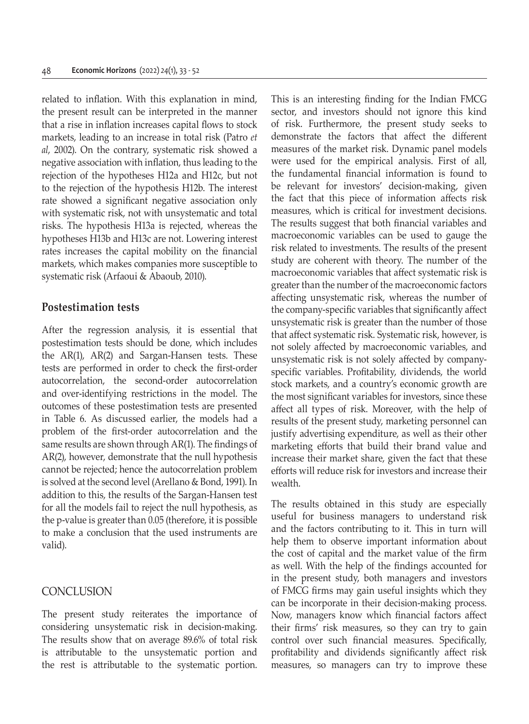related to inflation. With this explanation in mind, the present result can be interpreted in the manner that a rise in inflation increases capital flows to stock markets, leading to an increase in total risk (Patro *et al*, 2002). On the contrary, systematic risk showed a negative association with inflation, thus leading to the rejection of the hypotheses H12a and H12c, but not to the rejection of the hypothesis H12b. The interest rate showed a significant negative association only with systematic risk, not with unsystematic and total risks. The hypothesis H13a is rejected, whereas the hypotheses H13b and H13c are not. Lowering interest rates increases the capital mobility on the financial markets, which makes companies more susceptible to systematic risk (Arfaoui & Abaoub, 2010).

## **Postestimation tests**

After the regression analysis, it is essential that postestimation tests should be done, which includes the AR(1), AR(2) and Sargan-Hansen tests. These tests are performed in order to check the first-order autocorrelation, the second-order autocorrelation and over-identifying restrictions in the model. The outcomes of these postestimation tests are presented in Table 6. As discussed earlier, the models had a problem of the first-order autocorrelation and the same results are shown through AR(1). The findings of AR(2), however, demonstrate that the null hypothesis cannot be rejected; hence the autocorrelation problem is solved at the second level (Arellano & Bond, 1991). In addition to this, the results of the Sargan-Hansen test for all the models fail to reject the null hypothesis, as the p-value is greater than 0.05 (therefore, it is possible to make a conclusion that the used instruments are valid).

## **CONCLUSION**

The present study reiterates the importance of considering unsystematic risk in decision-making. The results show that on average 89.6% of total risk is attributable to the unsystematic portion and the rest is attributable to the systematic portion. This is an interesting finding for the Indian FMCG sector, and investors should not ignore this kind of risk. Furthermore, the present study seeks to demonstrate the factors that affect the different measures of the market risk. Dynamic panel models were used for the empirical analysis. First of all, the fundamental financial information is found to be relevant for investors' decision-making, given the fact that this piece of information affects risk measures, which is critical for investment decisions. The results suggest that both financial variables and macroeconomic variables can be used to gauge the risk related to investments. The results of the present study are coherent with theory. The number of the macroeconomic variables that affect systematic risk is greater than the number of the macroeconomic factors affecting unsystematic risk, whereas the number of the company-specific variables that significantly affect unsystematic risk is greater than the number of those that affect systematic risk. Systematic risk, however, is not solely affected by macroeconomic variables, and unsystematic risk is not solely affected by companyspecific variables. Profitability, dividends, the world stock markets, and a country's economic growth are the most significant variables for investors, since these affect all types of risk. Moreover, with the help of results of the present study, marketing personnel can justify advertising expenditure, as well as their other marketing efforts that build their brand value and increase their market share, given the fact that these efforts will reduce risk for investors and increase their wealth.

The results obtained in this study are especially useful for business managers to understand risk and the factors contributing to it. This in turn will help them to observe important information about the cost of capital and the market value of the firm as well. With the help of the findings accounted for in the present study, both managers and investors of FMCG firms may gain useful insights which they can be incorporate in their decision-making process. Now, managers know which financial factors affect their firms' risk measures, so they can try to gain control over such financial measures. Specifically, profitability and dividends significantly affect risk measures, so managers can try to improve these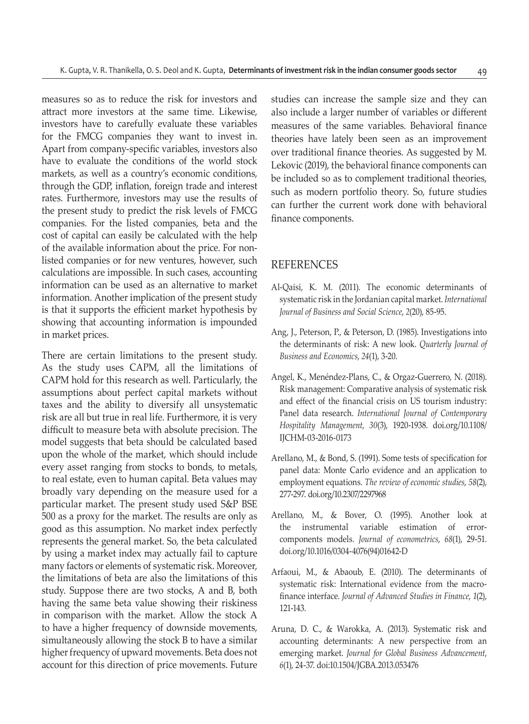measures so as to reduce the risk for investors and attract more investors at the same time. Likewise, investors have to carefully evaluate these variables for the FMCG companies they want to invest in. Apart from company-specific variables, investors also have to evaluate the conditions of the world stock markets, as well as a country's economic conditions, through the GDP, inflation, foreign trade and interest rates. Furthermore, investors may use the results of the present study to predict the risk levels of FMCG companies. For the listed companies, beta and the cost of capital can easily be calculated with the help of the available information about the price. For nonlisted companies or for new ventures, however, such calculations are impossible. In such cases, accounting information can be used as an alternative to market information. Another implication of the present study is that it supports the efficient market hypothesis by showing that accounting information is impounded in market prices.

There are certain limitations to the present study. As the study uses CAPM, all the limitations of CAPM hold for this research as well. Particularly, the assumptions about perfect capital markets without taxes and the ability to diversify all unsystematic risk are all but true in real life. Furthermore, it is very difficult to measure beta with absolute precision. The model suggests that beta should be calculated based upon the whole of the market, which should include every asset ranging from stocks to bonds, to metals, to real estate, even to human capital. Beta values may broadly vary depending on the measure used for a particular market. The present study used S&P BSE 500 as a proxy for the market. The results are only as good as this assumption. No market index perfectly represents the general market. So, the beta calculated by using a market index may actually fail to capture many factors or elements of systematic risk. Moreover, the limitations of beta are also the limitations of this study. Suppose there are two stocks, A and B, both having the same beta value showing their riskiness in comparison with the market. Allow the stock A to have a higher frequency of downside movements, simultaneously allowing the stock B to have a similar higher frequency of upward movements. Beta does not account for this direction of price movements. Future studies can increase the sample size and they can also include a larger number of variables or different measures of the same variables. Behavioral finance theories have lately been seen as an improvement over traditional finance theories. As suggested by M. Lekovic (2019), the behavioral finance components can be included so as to complement traditional theories, such as modern portfolio theory. So, future studies can further the current work done with behavioral finance components.

#### REFERENCES

- Al-Qaisi, K. M. (2011). The economic determinants of systematic risk in the Jordanian capital market. *International Journal of Business and Social Science*, *2*(20), 85-95.
- Ang, J., Peterson, P., & Peterson, D. (1985). Investigations into the determinants of risk: A new look. *Quarterly Journal of Business and Economics*, *24*(1), 3-20.
- Angel, K., Menéndez-Plans, C., & Orgaz-Guerrero, N. (2018). Risk management: Comparative analysis of systematic risk and effect of the financial crisis on US tourism industry: Panel data research. *International Journal of Contemporary Hospitality Management*, *30*(3), 1920-1938. doi.org/10.1108/ IJCHM-03-2016-0173
- Arellano, M., & Bond, S. (1991). Some tests of specification for panel data: Monte Carlo evidence and an application to employment equations. *The review of economic studies*, *58*(2), 277-297. doi.org/10.2307/2297968
- Arellano, M., & Bover, O. (1995). Another look at the instrumental variable estimation of errorcomponents models. *Journal of econometrics*, *68*(1), 29-51. doi.org/10.1016/0304-4076(94)01642-D
- Arfaoui, M., & Abaoub, E. (2010). The determinants of systematic risk: International evidence from the macrofinance interface. *Journal of Advanced Studies in Finance*, *1*(2), 121-143.
- Aruna, D. C., & Warokka, A. (2013). Systematic risk and accounting determinants: A new perspective from an emerging market. *Journal for Global Business Advancement*, *6*(1), 24-37. doi:10.1504/JGBA.2013.053476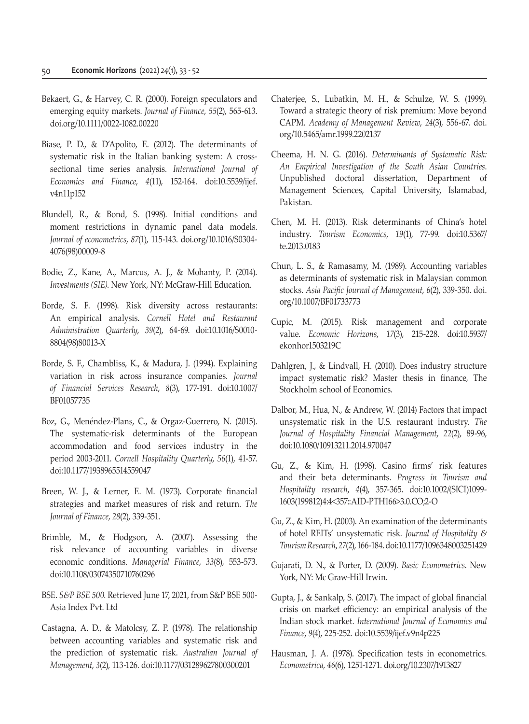- Bekaert, G., & Harvey, C. R. (2000). Foreign speculators and emerging equity markets. *Journal of Finance*, *55*(2), 565-613. doi.org/10.1111/0022-1082.00220
- Biase, P. D., & D'Apolito, E. (2012). The determinants of systematic risk in the Italian banking system: A crosssectional time series analysis. *International Journal of Economics and Finance*, *4*(11), 152-164. doi:10.5539/ijef. v4n11p152
- Blundell, R., & Bond, S. (1998). Initial conditions and moment restrictions in dynamic panel data models. *Journal of econometrics*, *87*(1), 115-143. doi.org/10.1016/S0304- 4076(98)00009-8
- Bodie, Z., Kane, A., Marcus, A. J., & Mohanty, P. (2014). *Investments (SIE)*. New York, NY: McGraw-Hill Education.
- Borde, S. F. (1998). Risk diversity across restaurants: An empirical analysis. *Cornell Hotel and Restaurant Administration Quarterly*, *39*(2), 64-69. doi:10.1016/S0010- 8804(98)80013-X
- Borde, S. F., Chambliss, K., & Madura, J. (1994). Explaining variation in risk across insurance companies*. Journal of Financial Services Research*, *8*(3), 177-191. doi:10.1007/ BF01057735
- Boz, G., Menéndez-Plans, C., & Orgaz-Guerrero, N. (2015). The systematic-risk determinants of the European accommodation and food services industry in the period 2003-2011. *Cornell Hospitality Quarterly*, *56*(1), 41-57. doi:10.1177/1938965514559047
- Breen, W. J., & Lerner, E. M. (1973). Corporate financial strategies and market measures of risk and return. *The Journal of Finance*, *28*(2), 339-351.
- Brimble, M., & Hodgson, A. (2007). Assessing the risk relevance of accounting variables in diverse economic conditions. *Managerial Finance*, *33*(8), 553-573. doi:10.1108/03074350710760296
- BSE. *S&P BSE 500*. Retrieved June 17, 2021, from S&P BSE 500- Asia Index Pvt. Ltd
- Castagna, A. D., & Matolcsy, Z. P. (1978). The relationship between accounting variables and systematic risk and the prediction of systematic risk. *Australian Journal of Management*, *3*(2), 113-126. doi:10.1177/031289627800300201
- Chaterjee, S., Lubatkin, M. H., & Schulze, W. S. (1999). Toward a strategic theory of risk premium: Move beyond CAPM. *Academy of Management Review*, *24*(3), 556-67. doi. org/10.5465/amr.1999.2202137
- Cheema, H. N. G. (2016). *Determinants of Systematic Risk: An Empirical Investigation of the South Asian Countries*. Unpublished doctoral dissertation, Department of Management Sciences, Capital University, Islamabad, Pakistan.
- Chen, M. H. (2013). Risk determinants of China's hotel industry. *Tourism Economics*, *19*(1), 77-99. doi:10.5367/ te.2013.0183
- Chun, L. S., & Ramasamy, M. (1989). Accounting variables as determinants of systematic risk in Malaysian common stocks. *Asia Pacific Journal of Management*, *6*(2), 339-350. doi. org/10.1007/BF01733773
- Cupic, M. (2015). Risk management and corporate value. *Economic Horizons*, *17*(3), 215-228. doi:10.5937/ ekonhor1503219C
- Dahlgren, J., & Lindvall, H. (2010). Does industry structure impact systematic risk? Master thesis in finance, The Stockholm school of Economics.
- Dalbor, M., Hua, N., & Andrew, W. (2014) Factors that impact unsystematic risk in the U.S. restaurant industry. *The Journal of Hospitality Financial Management*, *22*(2), 89-96, doi:10.1080/10913211.2014.970047
- Gu, Z., & Kim, H. (1998). Casino firms' risk features and their beta determinants. *Progress in Tourism and Hospitality research*, *4*(4), 357-365. doi:10.1002/(SICI)1099- 1603(199812)4:4<357::AID-PTH166>3.0.CO;2-O
- Gu, Z., & Kim, H. (2003). An examination of the determinants of hotel REITs' unsystematic risk. *Journal of Hospitality & Tourism Research*, *27*(2), 166-184. doi:10.1177/1096348003251429
- Gujarati, D. N., & Porter, D. (2009). *Basic Econometrics*. New York, NY: Mc Graw-Hill Irwin.
- Gupta, J., & Sankalp, S. (2017). The impact of global financial crisis on market efficiency: an empirical analysis of the Indian stock market. *International Journal of Economics and Finance*, *9*(4), 225-252. doi:10.5539/ijef.v9n4p225
- Hausman, J. A. (1978). Specification tests in econometrics. *Econometrica*, *46*(6), 1251-1271. doi.org/10.2307/1913827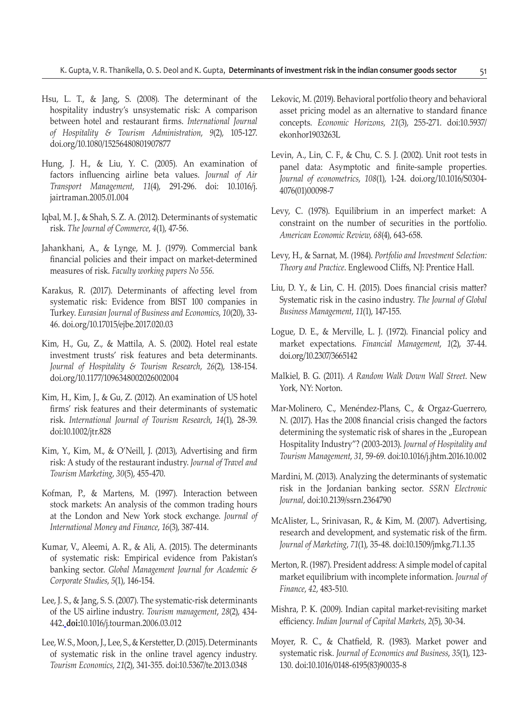- Hsu, L. T., & Jang, S. (2008). The determinant of the hospitality industry's unsystematic risk: A comparison between hotel and restaurant firms. *International Journal of Hospitality & Tourism Administration*, *9*(2), 105-127. doi.org/10.1080/15256480801907877
- Hung, J. H., & Liu, Y. C. (2005). An examination of factors influencing airline beta values. *Journal of Air Transport Management*, *11*(4), 291-296. doi: 10.1016/j. jairtraman.2005.01.004
- Iqbal, M. J., & Shah, S. Z. A. (2012). Determinants of systematic risk. *The Journal of Commerce*, *4*(1), 47-56.
- Jahankhani, A., & Lynge, M. J. (1979). Commercial bank financial policies and their impact on market-determined measures of risk. *Faculty working papers No 556*.
- Karakus, R. (2017). Determinants of affecting level from systematic risk: Evidence from BIST 100 companies in Turkey. *Eurasian Journal of Business and Economics*, *10*(20), 33- 46. doi.org/10.17015/ejbe.2017.020.03
- Kim, H., Gu, Z., & Mattila, A. S. (2002). Hotel real estate investment trusts' risk features and beta determinants. *Journal of Hospitality & Tourism Research*, *26*(2), 138-154. doi.org/10.1177/1096348002026002004
- Kim, H., Kim, J., & Gu, Z. (2012). An examination of US hotel firms' risk features and their determinants of systematic risk. *International Journal of Tourism Research*, *14*(1), 28-39. doi:10.1002/jtr.828
- Kim, Y., Kim, M., & O'Neill, J. (2013), Advertising and firm risk: A study of the restaurant industry. *Journal of Travel and Tourism Marketing*, *30*(5), 455-470.
- Kofman, P., & Martens, M. (1997). Interaction between stock markets: An analysis of the common trading hours at the London and New York stock exchange. *Journal of International Money and Finance*, *16*(3), 387-414.
- Kumar, V., Aleemi, A. R., & Ali, A. (2015). The determinants of systematic risk: Empirical evidence from Pakistan's banking sector. *Global Management Journal for Academic & Corporate Studies*, *5*(1), 146-154.
- Lee, J. S., & Jang, S. S. (2007). The systematic-risk determinants of the US airline industry. *Tourism management*, *28*(2), 434- 442**. doi:**10.1016/j.tourman.2006.03.012
- Lee, W. S., Moon, J., Lee, S., & Kerstetter, D. (2015). Determinants of systematic risk in the online travel agency industry. *Tourism Economics*, *21*(2), 341-355. doi:10.5367/te.2013.0348
- Lekovic, M. (2019). Behavioral portfolio theory and behavioral asset pricing model as an alternative to standard finance concepts. *Economic Horizons*, *21*(3), 255-271. doi:10.5937/ ekonhor1903263L
- Levin, A., Lin, C. F., & Chu, C. S. J. (2002). Unit root tests in panel data: Asymptotic and finite-sample properties. *Journal of econometrics*, *108*(1), 1-24. doi.org/10.1016/S0304- 4076(01)00098-7
- Levy, C. (1978). Equilibrium in an imperfect market: A constraint on the number of securities in the portfolio. *American Economic Review*, *68*(4), 643-658.
- Levy, H., & Sarnat, M. (1984). *Portfolio and Investment Selection: Theory and Practice*. Englewood Cliffs, NJ: Prentice Hall.
- Liu, D. Y., & Lin, C. H. (2015). Does financial crisis matter? Systematic risk in the casino industry. *The Journal of Global Business Management*, *11*(1), 147-155.
- Logue, D. E., & Merville, L. J. (1972). Financial policy and market expectations. *Financial Management*, *1*(2), 37-44. doi.org/10.2307/3665142
- Malkiel, B. G. (2011). *A Random Walk Down Wall Street*. New York, NY: Norton.
- Mar-Molinero, C., Menéndez-Plans, C., & Orgaz-Guerrero, N. (2017). Has the 2008 financial crisis changed the factors determining the systematic risk of shares in the "European Hospitality Industry"? (2003-2013). *Journal of Hospitality and Tourism Management*, *31*, 59-69. doi:10.1016/j.jhtm.2016.10.002
- Mardini, M. (2013). Analyzing the determinants of systematic risk in the Jordanian banking sector. *SSRN Electronic Journal*, doi:10.2139/ssrn.2364790
- McAlister, L., Srinivasan, R., & Kim, M. (2007). Advertising, research and development, and systematic risk of the firm. *Journal of Marketing*, *71*(1), 35-48. doi:10.1509/jmkg.71.1.35
- Merton, R. (1987). President address: A simple model of capital market equilibrium with incomplete information. *Journal of Finance*, *42*, 483-510.
- Mishra, P. K. (2009). Indian capital market-revisiting market efficiency. *Indian Journal of Capital Markets*, *2*(5), 30-34.
- Moyer, R. C., & Chatfield, R. (1983). Market power and systematic risk. *Journal of Economics and Business*, *35*(1), 123- 130. doi:10.1016/0148-6195(83)90035-8